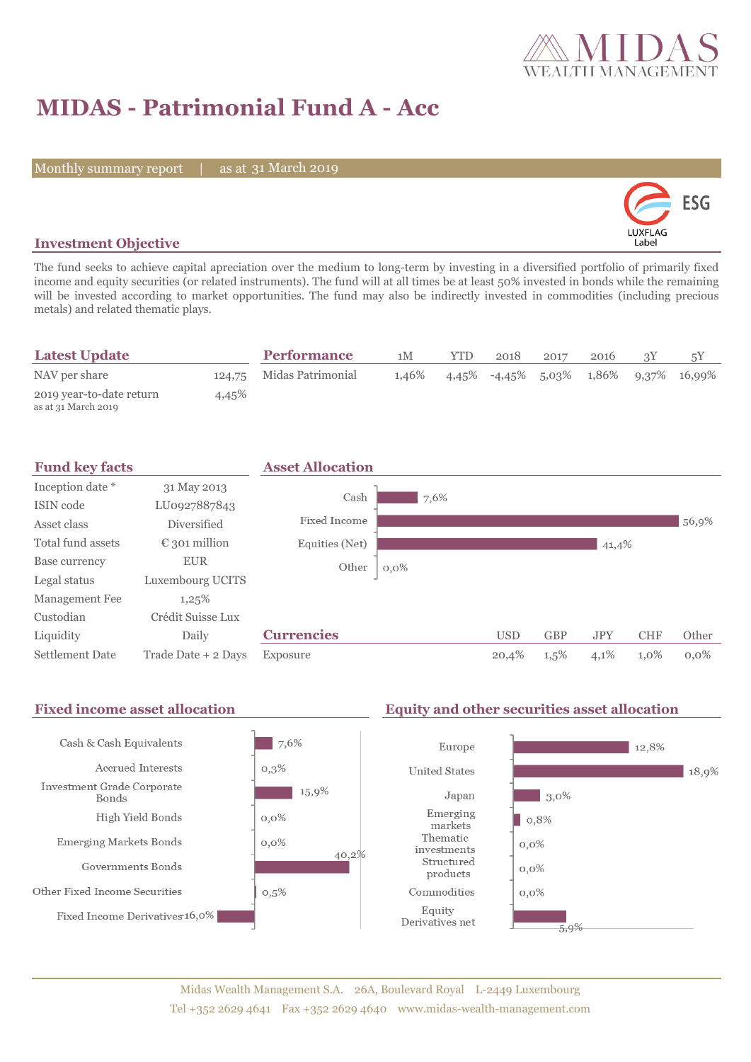

# **MIDAS - Patrimonial Fund A - Acc**

Monthly summary report | as at 31 March 2019



### **Investment Objective**

The fund seeks to achieve capital apreciation over the medium to long-term by investing in a diversified portfolio of primarily fixed income and equity securities (or related instruments). The fund will at all times be at least 50% invested in bonds while the remaining will be invested according to market opportunities. The fund may also be indirectly invested in commodities (including precious metals) and related thematic plays.

| <b>Latest Update</b>                            |       | <b>Performance</b>       | 1M    | <b>YTD</b> | 2018 | 2017 | 2016 |                                                         |
|-------------------------------------------------|-------|--------------------------|-------|------------|------|------|------|---------------------------------------------------------|
| NAV per share                                   |       | 124,75 Midas Patrimonial | 1,46% |            |      |      |      | $4.45\%$ $-4.45\%$ $5.03\%$ $1.86\%$ $9.37\%$ $16.99\%$ |
| 2019 year-to-date return<br>as at 31 March 2019 | 4,45% |                          |       |            |      |      |      |                                                         |



#### Fixed income asset allocation **Equity and other securities asset allocation** Cash & Cash Equivalents 7,6% Europe 12,8% Accrued Interests  $0,3%$ **United States** 18,9% Investment Grade Corporate 15,9%  $\Box$  3,0% Japan **Bonds** Emerging High Yield Bonds  $0,0\%$  $| 0,8%$ markets Thematic Emerging Markets Bonds  $0,0\%$  $0,0\%$ investments 40,2% Structured Governments Bonds  $0,0\%$ products Other Fixed Income Securities  $0,5%$ Commodities  $0,0\%$ Equity Fixed Income Derivatives 16,0% Derivatives net 5,9%

### Midas Wealth Management S.A. 26A, Boulevard Royal L-2449 Luxembourg Tel +352 2629 4641 Fax +352 2629 4640 www.midas-wealth-management.com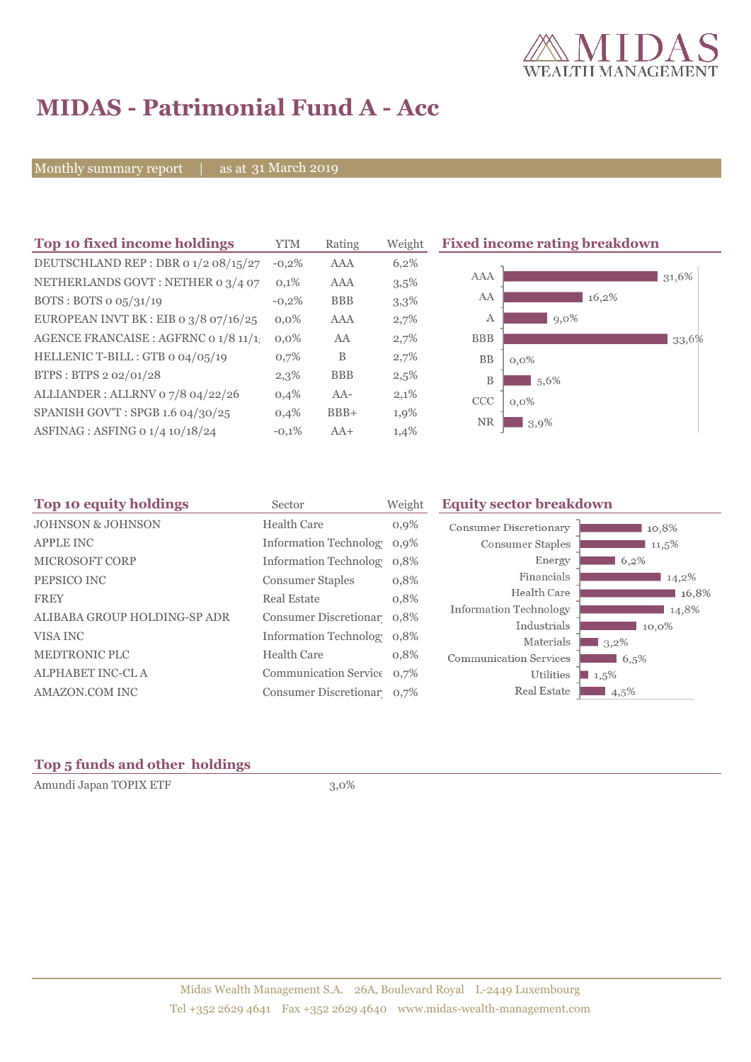

# **MIDAS - Patrimonial Fund A - Acc**

Monthly summary report | as at 31 March 2019

| Top 10 fixed income holdings            | <b>YTM</b> | Rating     | Weight  | <b>Fixed income rating breakdown</b> |  |  |
|-----------------------------------------|------------|------------|---------|--------------------------------------|--|--|
| DEUTSCHLAND REP : DBR 0 1/2 08/15/27    | $-0.2%$    | <b>AAA</b> | 6,2%    |                                      |  |  |
| NETHERLANDS GOVT: NETHER 0 3/4 07       | 0,1%       | AAA        | 3,5%    | AAA<br>31,6%                         |  |  |
| BOTS: BOTS $\sigma$ 05/31/19            | $-0.2%$    | <b>BBB</b> | 3,3%    | AA<br>16,2%                          |  |  |
| EUROPEAN INVT BK : EIB o $3/8$ o7/16/25 | $0.0\%$    | <b>AAA</b> | 2,7%    | 9,0%<br>А                            |  |  |
| AGENCE FRANCAISE : AGFRNC 0 1/8 11/1    | $0.0\%$    | AA         | 2,7%    | <b>BBB</b><br>33,6%                  |  |  |
| HELLENIC T-BILL : GTB 0 04/05/19        | 0,7%       | B          | 2,7%    | <b>BB</b><br>$0,0\%$                 |  |  |
| BTPS: BTPS 2 02/01/28                   | 2,3%       | <b>BBB</b> | $2,5\%$ | B<br>5,6%                            |  |  |
| ALLIANDER: ALLRNV 07/8 04/22/26         | 0,4%       | $AA-$      | 2,1%    | <b>CCC</b><br>$0.0\%$                |  |  |
| SPANISH GOV'T: SPGB 1.6 04/30/25        | 0,4%       | $BBB+$     | 1,9%    | <b>NR</b>                            |  |  |
| ASFINAG : ASFING 0 1/4 10/18/24         | $-0,1%$    | $AA+$      | 1,4%    | 3,9%                                 |  |  |

| Top 10 equity holdings       | Sector                     | Weight  | <b>Equity sector breakdown</b> |         |  |  |
|------------------------------|----------------------------|---------|--------------------------------|---------|--|--|
| <b>JOHNSON &amp; JOHNSON</b> | Health Care                | $0,9\%$ | <b>Consumer Discretionary</b>  | 10,8%   |  |  |
| <b>APPLE INC</b>             | Information Technolog 0,9% |         | Consumer Staples               | 11,5%   |  |  |
| <b>MICROSOFT CORP</b>        | Information Technolog 0.8% |         | Energy                         | 6,2%    |  |  |
| PEPSICO INC                  | <b>Consumer Staples</b>    | 0,8%    | Financials                     | 14,2%   |  |  |
| <b>FREY</b>                  | Real Estate                | 0,8%    | Health Care                    | 16,8%   |  |  |
| ALIBABA GROUP HOLDING-SP ADR | Consumer Discretionar 0,8% |         | Information Technology         | 14,8%   |  |  |
|                              |                            |         | Industrials                    | 10,0%   |  |  |
| VISA INC                     | Information Technolog 0,8% |         | Materials                      | $3,2\%$ |  |  |
| <b>MEDTRONIC PLC</b>         | <b>Health Care</b>         | 0,8%    | <b>Communication Services</b>  | 6,5%    |  |  |
| <b>ALPHABET INC-CL A</b>     | Communication Service 0.7% |         | Utilities                      | $1,5\%$ |  |  |
| AMAZON.COM INC               | Consumer Discretionar 0,7% |         | Real Estate                    | $4,5\%$ |  |  |

## **Top 5 funds and other holdings**

Amundi Japan TOPIX ETF 3,0%